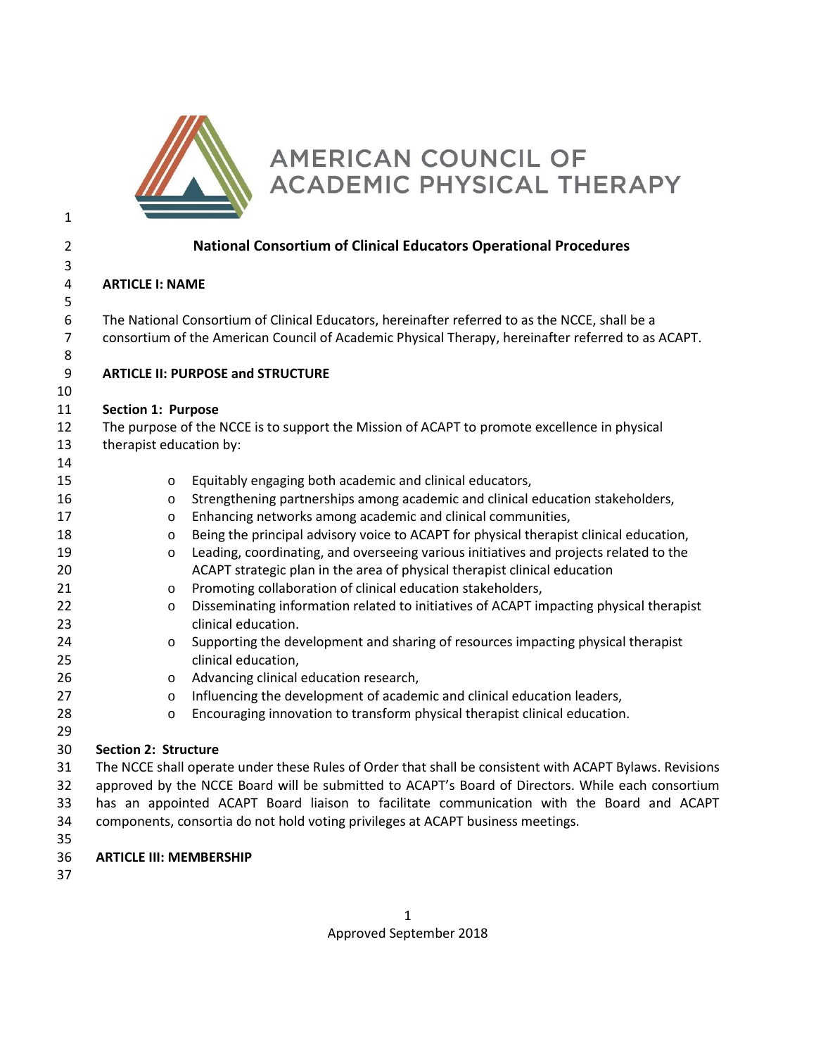

# AMERICAN COUNCIL OF ACADEMIC PHYSICAL THERAPY

| $\overline{2}$ |                                                                                                         | <b>National Consortium of Clinical Educators Operational Procedures</b>                        |  |
|----------------|---------------------------------------------------------------------------------------------------------|------------------------------------------------------------------------------------------------|--|
| 3              |                                                                                                         |                                                                                                |  |
| 4              | <b>ARTICLE I: NAME</b>                                                                                  |                                                                                                |  |
| 5              |                                                                                                         |                                                                                                |  |
| 6              |                                                                                                         | The National Consortium of Clinical Educators, hereinafter referred to as the NCCE, shall be a |  |
| 7              | consortium of the American Council of Academic Physical Therapy, hereinafter referred to as ACAPT.      |                                                                                                |  |
| 8              |                                                                                                         |                                                                                                |  |
| 9              |                                                                                                         | <b>ARTICLE II: PURPOSE and STRUCTURE</b>                                                       |  |
| 10             |                                                                                                         |                                                                                                |  |
| 11             | Section 1: Purpose                                                                                      |                                                                                                |  |
| 12             | The purpose of the NCCE is to support the Mission of ACAPT to promote excellence in physical            |                                                                                                |  |
| 13             | therapist education by:                                                                                 |                                                                                                |  |
| 14             |                                                                                                         |                                                                                                |  |
| 15             | $\circ$                                                                                                 | Equitably engaging both academic and clinical educators,                                       |  |
| 16             | o                                                                                                       | Strengthening partnerships among academic and clinical education stakeholders,                 |  |
| 17             | о                                                                                                       | Enhancing networks among academic and clinical communities,                                    |  |
| 18             | o                                                                                                       | Being the principal advisory voice to ACAPT for physical therapist clinical education,         |  |
| 19             | o                                                                                                       | Leading, coordinating, and overseeing various initiatives and projects related to the          |  |
| 20             |                                                                                                         | ACAPT strategic plan in the area of physical therapist clinical education                      |  |
| 21             | 0                                                                                                       | Promoting collaboration of clinical education stakeholders,                                    |  |
| 22             | O                                                                                                       | Disseminating information related to initiatives of ACAPT impacting physical therapist         |  |
| 23             |                                                                                                         | clinical education.                                                                            |  |
| 24             | o                                                                                                       | Supporting the development and sharing of resources impacting physical therapist               |  |
| 25             |                                                                                                         | clinical education,                                                                            |  |
| 26             | o                                                                                                       | Advancing clinical education research,                                                         |  |
| 27             | o                                                                                                       | Influencing the development of academic and clinical education leaders,                        |  |
| 28             | O                                                                                                       | Encouraging innovation to transform physical therapist clinical education.                     |  |
| 29             |                                                                                                         |                                                                                                |  |
| 30             | <b>Section 2: Structure</b>                                                                             |                                                                                                |  |
| 31             | The NCCE shall operate under these Rules of Order that shall be consistent with ACAPT Bylaws. Revisions |                                                                                                |  |
| 32             | approved by the NCCE Board will be submitted to ACAPT's Board of Directors. While each consortium       |                                                                                                |  |
| 33             | has an appointed ACAPT Board liaison to facilitate communication with the Board and ACAPT               |                                                                                                |  |
| 34             | components, consortia do not hold voting privileges at ACAPT business meetings.                         |                                                                                                |  |
| 35             |                                                                                                         |                                                                                                |  |
| 36             | <b>ARTICLE III: MEMBERSHIP</b>                                                                          |                                                                                                |  |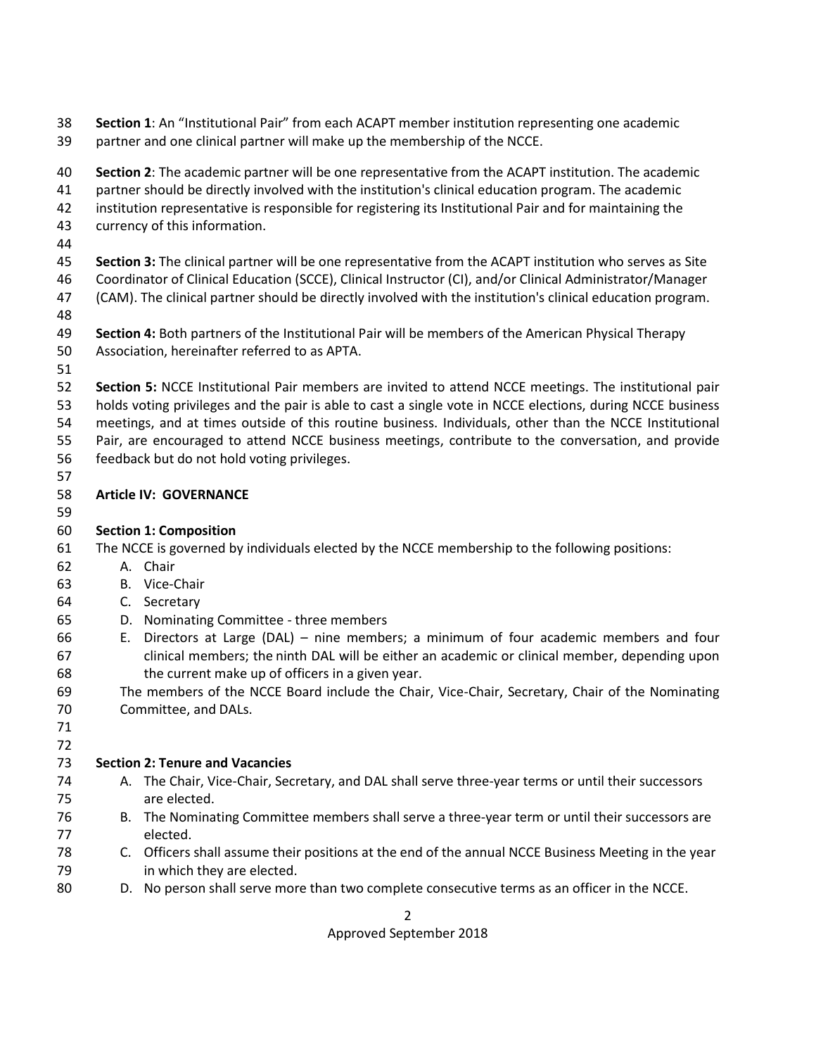- **Section 1**: An "Institutional Pair" from each ACAPT member institution representing one academic partner and one clinical partner will make up the membership of the NCCE.
- **Section 2**: The academic partner will be one representative from the ACAPT institution. The academic partner should be directly involved with the institution's clinical education program. The academic
- institution representative is responsible for registering its Institutional Pair and for maintaining the
- currency of this information.
- 
- **Section 3:** The clinical partner will be one representative from the ACAPT institution who serves as Site
- Coordinator of Clinical Education (SCCE), Clinical Instructor (CI), and/or Clinical Administrator/Manager (CAM). The clinical partner should be directly involved with the institution's clinical education program.
- 
- **Section 4:** Both partners of the Institutional Pair will be members of the American Physical Therapy Association, hereinafter referred to as APTA.
- 
- **Section 5:** NCCE Institutional Pair members are invited to attend NCCE meetings. The institutional pair holds voting privileges and the pair is able to cast a single vote in NCCE elections, during NCCE business meetings, and at times outside of this routine business. Individuals, other than the NCCE Institutional Pair, are encouraged to attend NCCE business meetings, contribute to the conversation, and provide feedback but do not hold voting privileges.
- 

# **Article IV: GOVERNANCE**

# **Section 1: Composition**

- The NCCE is governed by individuals elected by the NCCE membership to the following positions:
- A. Chair
- B. Vice-Chair
- C. Secretary
- D. Nominating Committee three members
- E. Directors at Large (DAL) nine members; a minimum of four academic members and four clinical members; the ninth DAL will be either an academic or clinical member, depending upon the current make up of officers in a given year.
- The members of the NCCE Board include the Chair, Vice-Chair, Secretary, Chair of the Nominating Committee, and DALs.
- 

# **Section 2: Tenure and Vacancies**

- A. The Chair, Vice-Chair, Secretary, and DAL shall serve three-year terms or until their successors are elected.
- B. The Nominating Committee members shall serve a three-year term or until their successors are elected.
- C. Officers shall assume their positions at the end of the annual NCCE Business Meeting in the year in which they are elected.
- D. No person shall serve more than two complete consecutive terms as an officer in the NCCE.

## Approved September 2018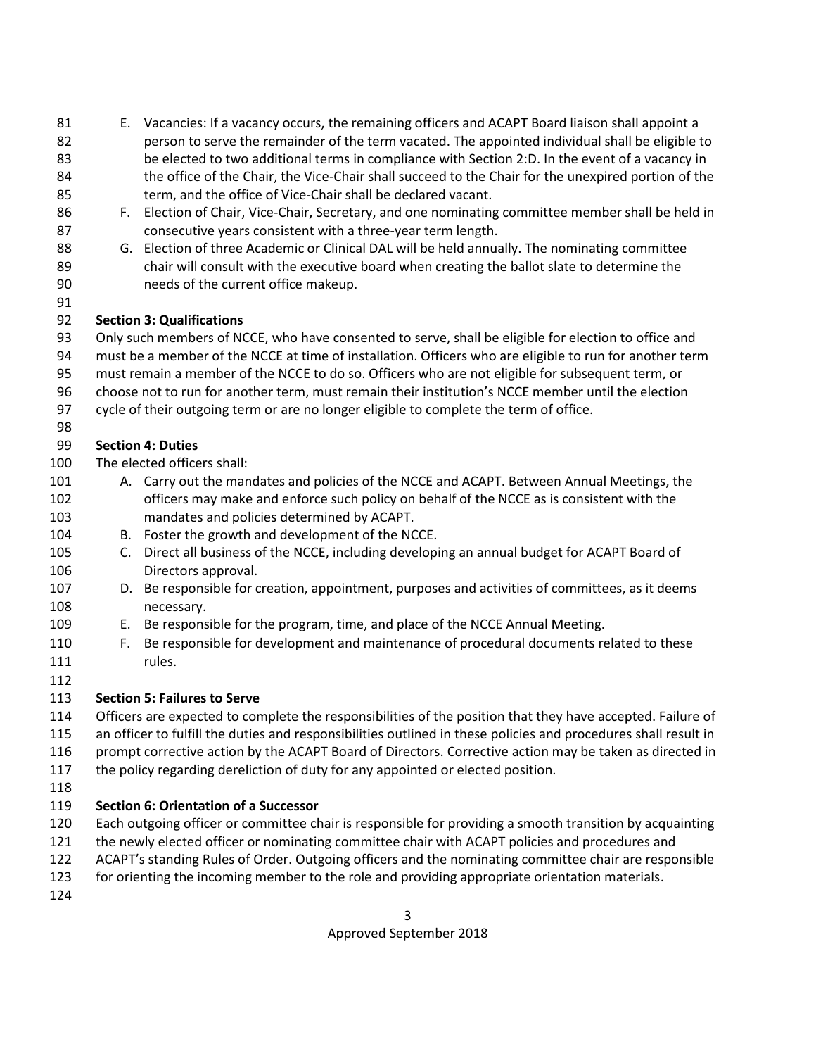- E. Vacancies: If a vacancy occurs, the remaining officers and ACAPT Board liaison shall appoint a person to serve the remainder of the term vacated. The appointed individual shall be eligible to be elected to two additional terms in compliance with Section 2:D. In the event of a vacancy in 84 the office of the Chair, the Vice-Chair shall succeed to the Chair for the unexpired portion of the term, and the office of Vice-Chair shall be declared vacant.
- F. Election of Chair, Vice-Chair, Secretary, and one nominating committee member shall be held in consecutive years consistent with a three-year term length.
- 88 G. Election of three Academic or Clinical DAL will be held annually. The nominating committee chair will consult with the executive board when creating the ballot slate to determine the needs of the current office makeup.
- 

# **Section 3: Qualifications**

Only such members of NCCE, who have consented to serve, shall be eligible for election to office and

must be a member of the NCCE at time of installation. Officers who are eligible to run for another term

- must remain a member of the NCCE to do so. Officers who are not eligible for subsequent term, or
- choose not to run for another term, must remain their institution's NCCE member until the election
- cycle of their outgoing term or are no longer eligible to complete the term of office.
- 

# **Section 4: Duties**

The elected officers shall:

- A. Carry out the mandates and policies of the NCCE and ACAPT. Between Annual Meetings, the 102 officers may make and enforce such policy on behalf of the NCCE as is consistent with the mandates and policies determined by ACAPT.
- B. Foster the growth and development of the NCCE.
- C. Direct all business of the NCCE, including developing an annual budget for ACAPT Board of Directors approval.
- D. Be responsible for creation, appointment, purposes and activities of committees, as it deems necessary.
- E. Be responsible for the program, time, and place of the NCCE Annual Meeting.
- F. Be responsible for development and maintenance of procedural documents related to these 111 rules.
- 

# **Section 5: Failures to Serve**

 Officers are expected to complete the responsibilities of the position that they have accepted. Failure of an officer to fulfill the duties and responsibilities outlined in these policies and procedures shall result in prompt corrective action by the ACAPT Board of Directors. Corrective action may be taken as directed in

- the policy regarding dereliction of duty for any appointed or elected position.
- 

# **Section 6: Orientation of a Successor**

- Each outgoing officer or committee chair is responsible for providing a smooth transition by acquainting
- the newly elected officer or nominating committee chair with ACAPT policies and procedures and
- ACAPT's standing Rules of Order. Outgoing officers and the nominating committee chair are responsible
- for orienting the incoming member to the role and providing appropriate orientation materials.
-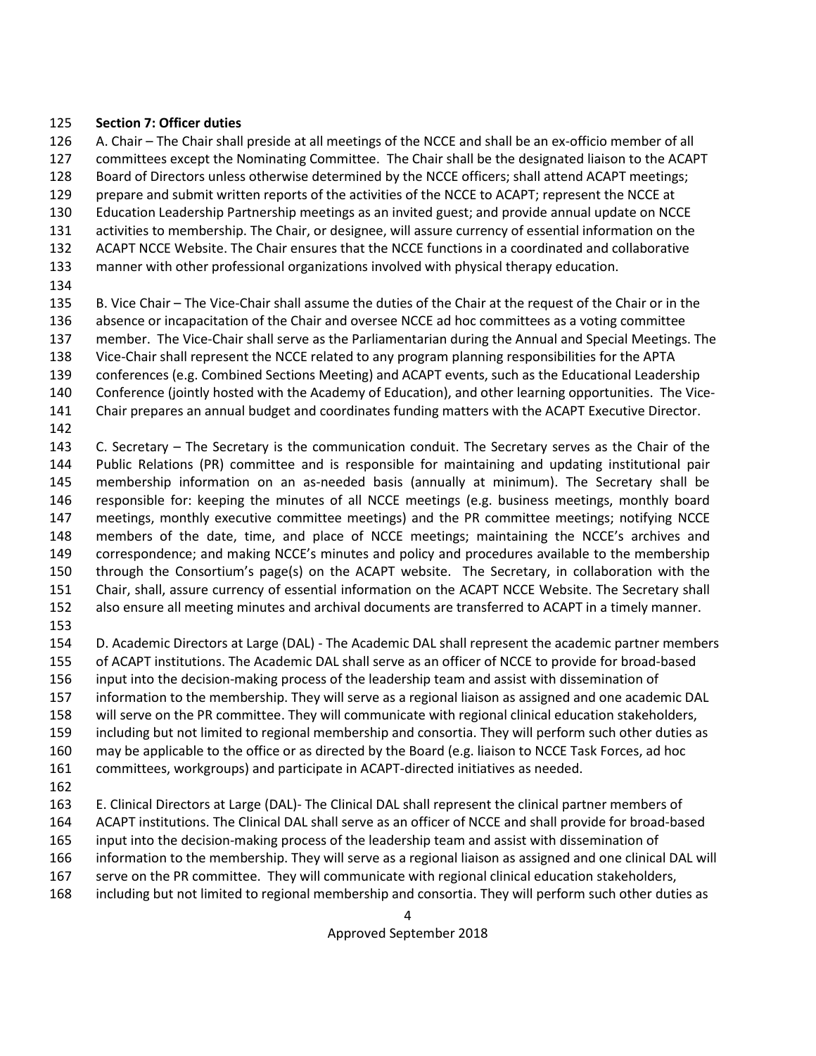#### **Section 7: Officer duties**

 A. Chair – The Chair shall preside at all meetings of the NCCE and shall be an ex-officio member of all committees except the Nominating Committee. The Chair shall be the designated liaison to the ACAPT Board of Directors unless otherwise determined by the NCCE officers; shall attend ACAPT meetings; prepare and submit written reports of the activities of the NCCE to ACAPT; represent the NCCE at Education Leadership Partnership meetings as an invited guest; and provide annual update on NCCE activities to membership. The Chair, or designee, will assure currency of essential information on the ACAPT NCCE Website. The Chair ensures that the NCCE functions in a coordinated and collaborative

- manner with other professional organizations involved with physical therapy education.
- 

B. Vice Chair – The Vice-Chair shall assume the duties of the Chair at the request of the Chair or in the

- absence or incapacitation of the Chair and oversee NCCE ad hoc committees as a voting committee
- member. The Vice-Chair shall serve as the Parliamentarian during the Annual and Special Meetings. The
- Vice-Chair shall represent the NCCE related to any program planning responsibilities for the APTA conferences (e.g. Combined Sections Meeting) and ACAPT events, such as the Educational Leadership
- 
- Conference (jointly hosted with the Academy of Education), and other learning opportunities. The Vice-
- Chair prepares an annual budget and coordinates funding matters with the ACAPT Executive Director.
- 

 C. Secretary – The Secretary is the communication conduit. The Secretary serves as the Chair of the Public Relations (PR) committee and is responsible for maintaining and updating institutional pair membership information on an as-needed basis (annually at minimum). The Secretary shall be responsible for: keeping the minutes of all NCCE meetings (e.g. business meetings, monthly board meetings, monthly executive committee meetings) and the PR committee meetings; notifying NCCE members of the date, time, and place of NCCE meetings; maintaining the NCCE's archives and correspondence; and making NCCE's minutes and policy and procedures available to the membership through the Consortium's page(s) on the ACAPT website. The Secretary, in collaboration with the Chair, shall, assure currency of essential information on the ACAPT NCCE Website. The Secretary shall also ensure all meeting minutes and archival documents are transferred to ACAPT in a timely manner.

 D. Academic Directors at Large (DAL) - The Academic DAL shall represent the academic partner members of ACAPT institutions. The Academic DAL shall serve as an officer of NCCE to provide for broad-based input into the decision-making process of the leadership team and assist with dissemination of information to the membership. They will serve as a regional liaison as assigned and one academic DAL will serve on the PR committee. They will communicate with regional clinical education stakeholders, including but not limited to regional membership and consortia. They will perform such other duties as may be applicable to the office or as directed by the Board (e.g. liaison to NCCE Task Forces, ad hoc committees, workgroups) and participate in ACAPT-directed initiatives as needed.

E. Clinical Directors at Large (DAL)- The Clinical DAL shall represent the clinical partner members of

- ACAPT institutions. The Clinical DAL shall serve as an officer of NCCE and shall provide for broad-based
- input into the decision-making process of the leadership team and assist with dissemination of
- information to the membership. They will serve as a regional liaison as assigned and one clinical DAL will
- serve on the PR committee. They will communicate with regional clinical education stakeholders,
- including but not limited to regional membership and consortia. They will perform such other duties as

Approved September 2018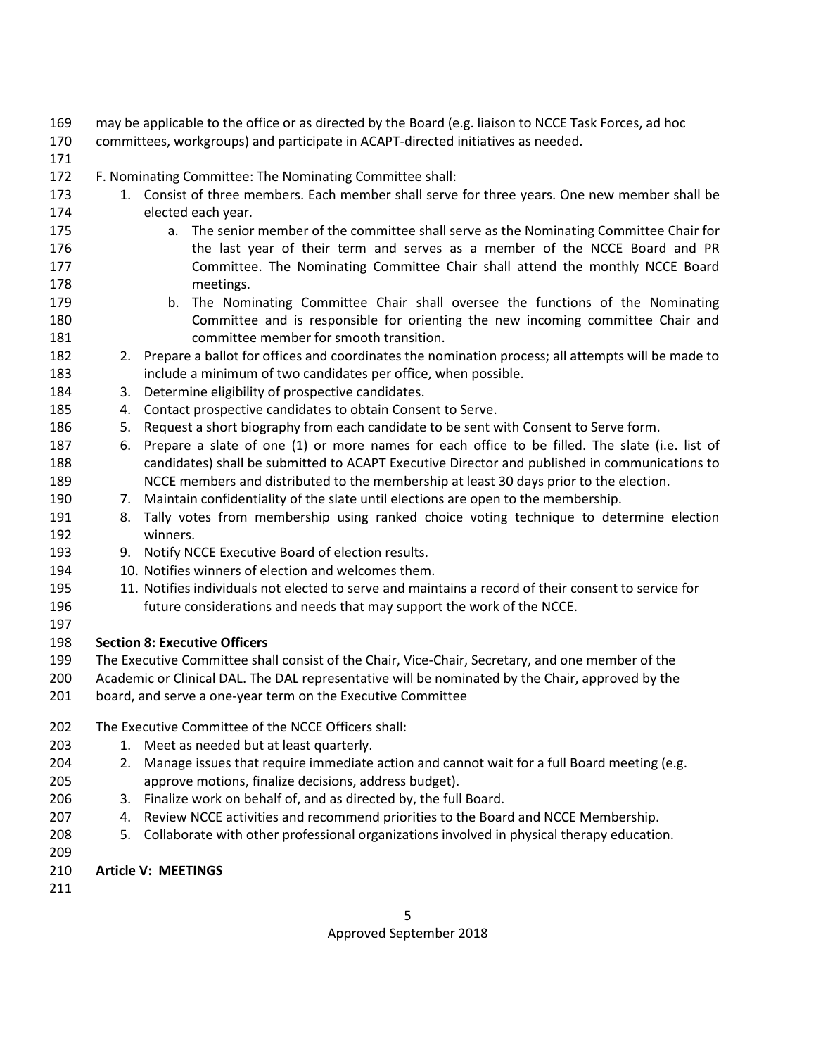- may be applicable to the office or as directed by the Board (e.g. liaison to NCCE Task Forces, ad hoc
- committees, workgroups) and participate in ACAPT-directed initiatives as needed.
- 
- F. Nominating Committee: The Nominating Committee shall:
- 173 1. Consist of three members. Each member shall serve for three years. One new member shall be elected each year.
- **a.** The senior member of the committee shall serve as the Nominating Committee Chair for the last year of their term and serves as a member of the NCCE Board and PR Committee. The Nominating Committee Chair shall attend the monthly NCCE Board meetings.
- b. The Nominating Committee Chair shall oversee the functions of the Nominating Committee and is responsible for orienting the new incoming committee Chair and committee member for smooth transition.
- 2. Prepare a ballot for offices and coordinates the nomination process; all attempts will be made to include a minimum of two candidates per office, when possible.
- 3. Determine eligibility of prospective candidates.
- 4. Contact prospective candidates to obtain Consent to Serve.
- 5. Request a short biography from each candidate to be sent with Consent to Serve form.
- 6. Prepare a slate of one (1) or more names for each office to be filled. The slate (i.e. list of candidates) shall be submitted to ACAPT Executive Director and published in communications to NCCE members and distributed to the membership at least 30 days prior to the election.
- 7. Maintain confidentiality of the slate until elections are open to the membership.
- 8. Tally votes from membership using ranked choice voting technique to determine election winners.
- 9. Notify NCCE Executive Board of election results.
- 10. Notifies winners of election and welcomes them.
- 11. Notifies individuals not elected to serve and maintains a record of their consent to service for future considerations and needs that may support the work of the NCCE.
- 
- **Section 8: Executive Officers**
- The Executive Committee shall consist of the Chair, Vice-Chair, Secretary, and one member of the
- Academic or Clinical DAL. The DAL representative will be nominated by the Chair, approved by the board, and serve a one-year term on the Executive Committee
- The Executive Committee of the NCCE Officers shall:
- 203 1. Meet as needed but at least quarterly.
- 204 2. Manage issues that require immediate action and cannot wait for a full Board meeting (e.g. approve motions, finalize decisions, address budget).
- 3. Finalize work on behalf of, and as directed by, the full Board.
- 4. Review NCCE activities and recommend priorities to the Board and NCCE Membership.
- 5. Collaborate with other professional organizations involved in physical therapy education.
- 
- **Article V: MEETINGS**
-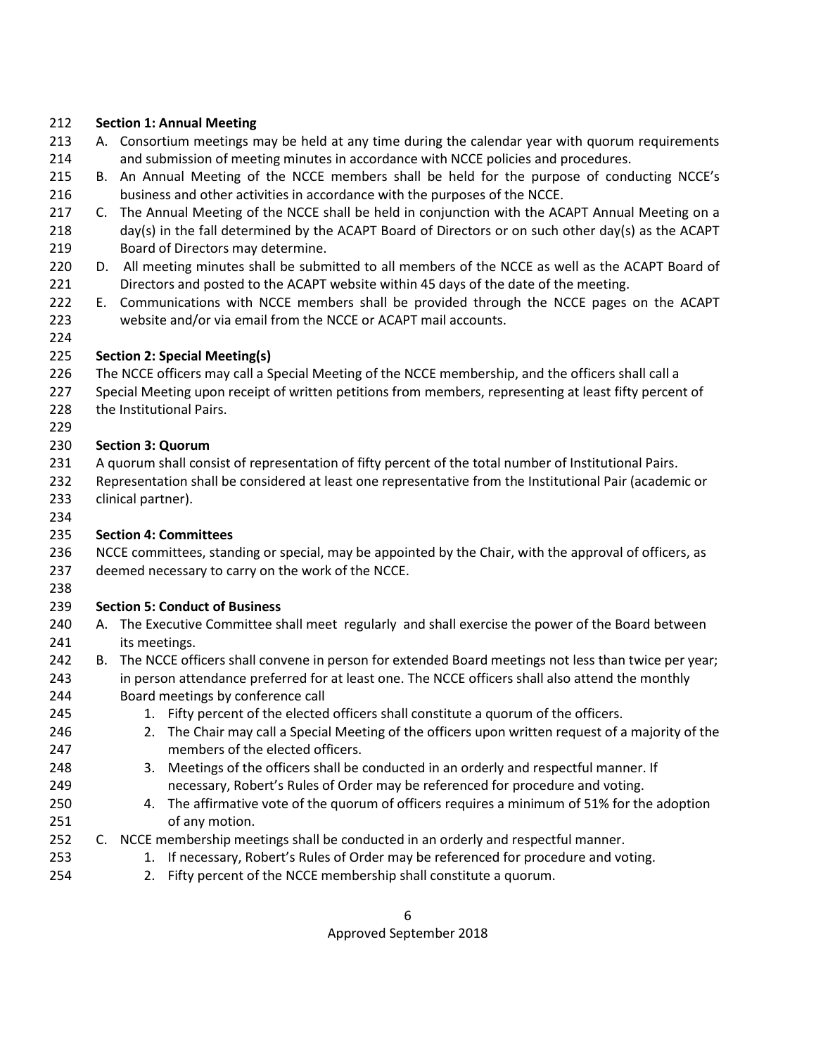#### **Section 1: Annual Meeting**

- A. Consortium meetings may be held at any time during the calendar year with quorum requirements and submission of meeting minutes in accordance with NCCE policies and procedures.
- B. An Annual Meeting of the NCCE members shall be held for the purpose of conducting NCCE's business and other activities in accordance with the purposes of the NCCE.
- 217 C. The Annual Meeting of the NCCE shall be held in conjunction with the ACAPT Annual Meeting on a 218 day(s) in the fall determined by the ACAPT Board of Directors or on such other day(s) as the ACAPT Board of Directors may determine.
- D. All meeting minutes shall be submitted to all members of the NCCE as well as the ACAPT Board of Directors and posted to the ACAPT website within 45 days of the date of the meeting.
- E. Communications with NCCE members shall be provided through the NCCE pages on the ACAPT website and/or via email from the NCCE or ACAPT mail accounts.
- 

### **Section 2: Special Meeting(s)**

- The NCCE officers may call a Special Meeting of the NCCE membership, and the officers shall call a
- 227 Special Meeting upon receipt of written petitions from members, representing at least fifty percent of
- the Institutional Pairs.
- 

### **Section 3: Quorum**

- A quorum shall consist of representation of fifty percent of the total number of Institutional Pairs.
- Representation shall be considered at least one representative from the Institutional Pair (academic or
- clinical partner).

## **Section 4: Committees**

- 236 NCCE committees, standing or special, may be appointed by the Chair, with the approval of officers, as deemed necessary to carry on the work of the NCCE.
- 

## **Section 5: Conduct of Business**

- A. The Executive Committee shall meet regularly and shall exercise the power of the Board between its meetings.
- B. The NCCE officers shall convene in person for extended Board meetings not less than twice per year; in person attendance preferred for at least one. The NCCE officers shall also attend the monthly
- Board meetings by conference call
- 245 1. Fifty percent of the elected officers shall constitute a quorum of the officers.
- 2. The Chair may call a Special Meeting of the officers upon written request of a majority of the members of the elected officers.
- 3. Meetings of the officers shall be conducted in an orderly and respectful manner. If necessary, Robert's Rules of Order may be referenced for procedure and voting.
- 4. The affirmative vote of the quorum of officers requires a minimum of 51% for the adoption of any motion.
- C. NCCE membership meetings shall be conducted in an orderly and respectful manner.
- 253 1. If necessary, Robert's Rules of Order may be referenced for procedure and voting.
- 2. Fifty percent of the NCCE membership shall constitute a quorum.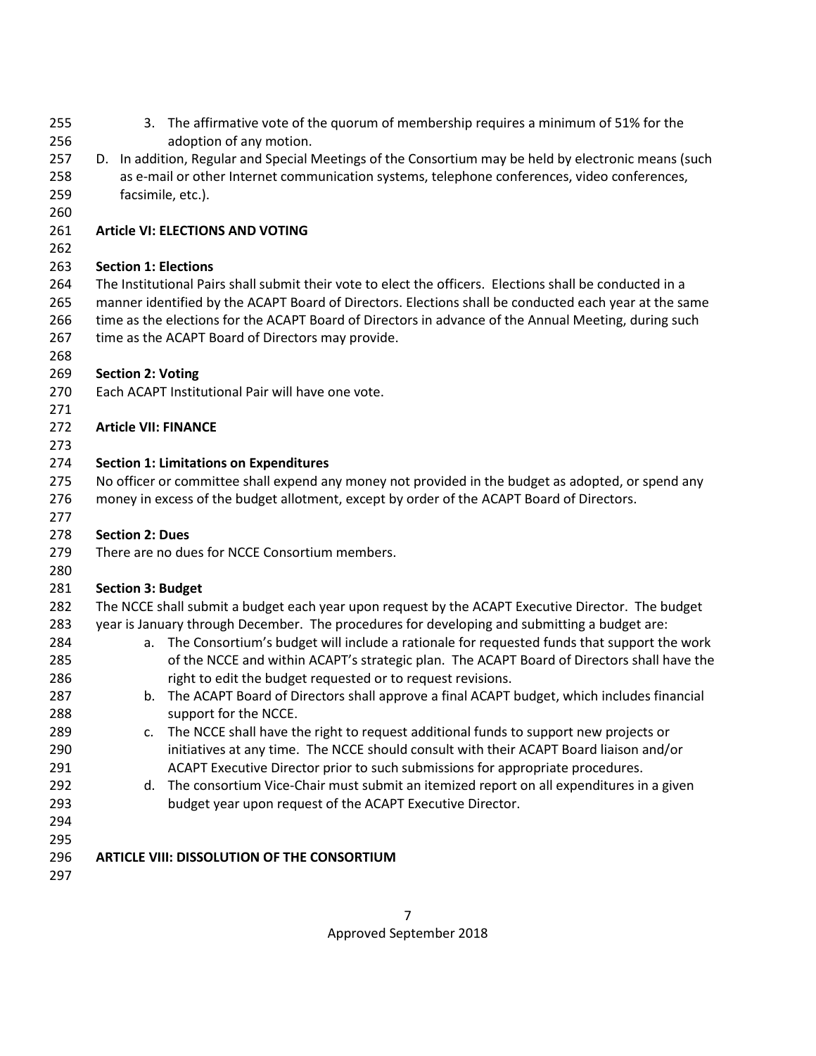- 3. The affirmative vote of the quorum of membership requires a minimum of 51% for the adoption of any motion. D. In addition, Regular and Special Meetings of the Consortium may be held by electronic means (such as e-mail or other Internet communication systems, telephone conferences, video conferences, facsimile, etc.). **Article VI: ELECTIONS AND VOTING Section 1: Elections** The Institutional Pairs shall submit their vote to elect the officers. Elections shall be conducted in a manner identified by the ACAPT Board of Directors. Elections shall be conducted each year at the same time as the elections for the ACAPT Board of Directors in advance of the Annual Meeting, during such 267 time as the ACAPT Board of Directors may provide. **Section 2: Voting** Each ACAPT Institutional Pair will have one vote. **Article VII: FINANCE Section 1: Limitations on Expenditures** No officer or committee shall expend any money not provided in the budget as adopted, or spend any money in excess of the budget allotment, except by order of the ACAPT Board of Directors. **Section 2: Dues** There are no dues for NCCE Consortium members. **Section 3: Budget** The NCCE shall submit a budget each year upon request by the ACAPT Executive Director. The budget year is January through December. The procedures for developing and submitting a budget are: a. The Consortium's budget will include a rationale for requested funds that support the work of the NCCE and within ACAPT's strategic plan. The ACAPT Board of Directors shall have the **right to edit the budget requested or to request revisions.**  b. The ACAPT Board of Directors shall approve a final ACAPT budget, which includes financial support for the NCCE. 289 c. The NCCE shall have the right to request additional funds to support new projects or initiatives at any time. The NCCE should consult with their ACAPT Board liaison and/or ACAPT Executive Director prior to such submissions for appropriate procedures. 292 d. The consortium Vice-Chair must submit an itemized report on all expenditures in a given budget year upon request of the ACAPT Executive Director. **ARTICLE VIII: DISSOLUTION OF THE CONSORTIUM**
	- Approved September 2018